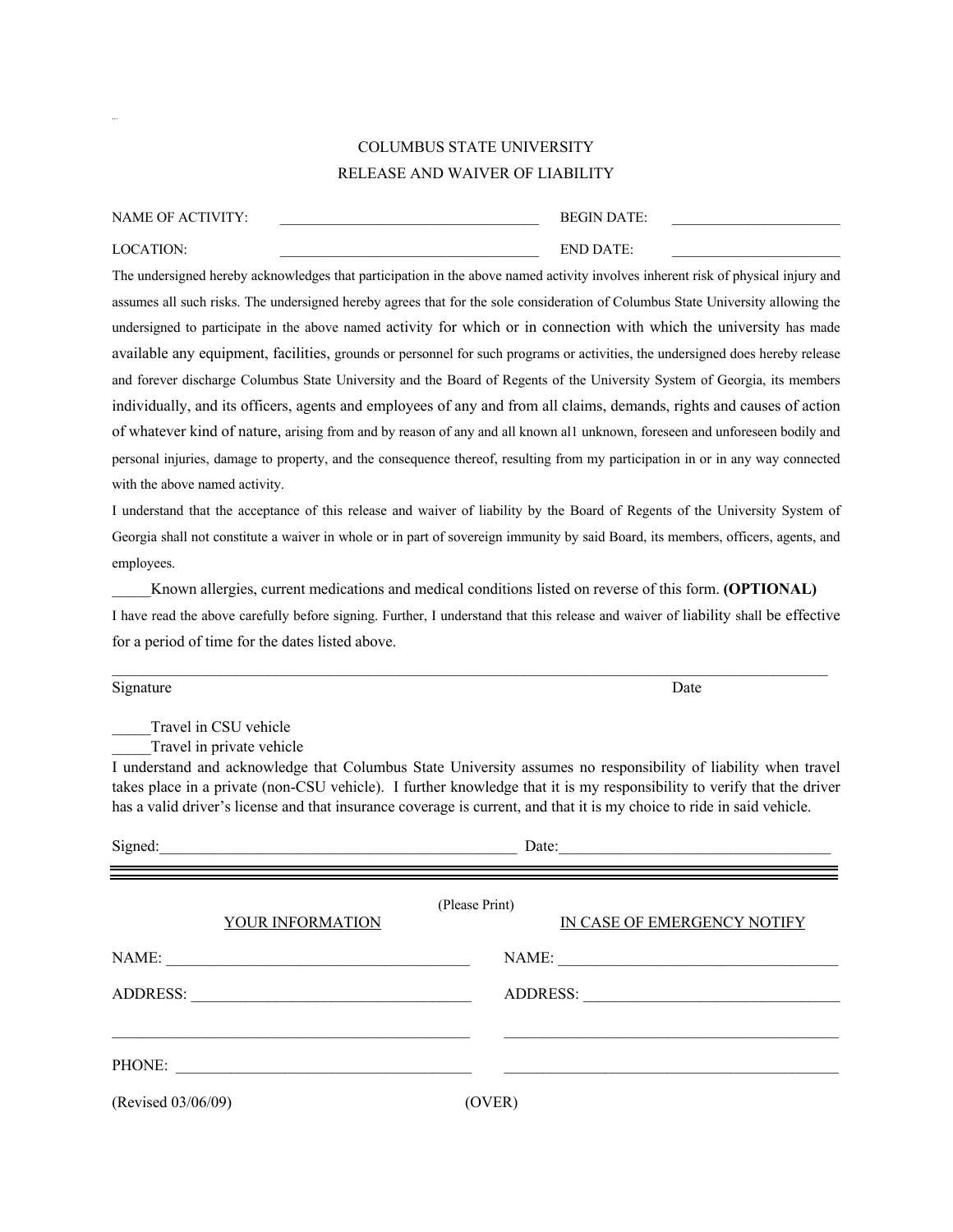## COLUMBUS STATE UNIVERSITY RELEASE AND WAIVER OF LIABILITY

| NAME OF ACTIVITY: | <b>BEGIN DATE:</b> |  |
|-------------------|--------------------|--|
| LOCATION:         | END DATE:          |  |

...

The undersigned hereby acknowledges that participation in the above named activity involves inherent risk of physical injury and assumes all such risks. The undersigned hereby agrees that for the sole consideration of Columbus State University allowing the undersigned to participate in the above named activity for which or in connection with which the university has made available any equipment, facilities, grounds or personnel for such programs or activities, the undersigned does hereby release and forever discharge Columbus State University and the Board of Regents of the University System of Georgia, its members individually, and its officers, agents and employees of any and from all claims, demands, rights and causes of action of whatever kind of nature, arising from and by reason of any and all known al1 unknown, foreseen and unforeseen bodily and personal injuries, damage to property, and the consequence thereof, resulting from my participation in or in any way connected with the above named activity.

I understand that the acceptance of this release and waiver of liability by the Board of Regents of the University System of Georgia shall not constitute a waiver in whole or in part of sovereign immunity by said Board, its members, officers, agents, and employees.

\_\_\_\_\_Known allergies, current medications and medical conditions listed on reverse of this form. **(OPTIONAL)** I have read the above carefully before signing. Further, I understand that this release and waiver of liability shall be effective for a period of time for the dates listed above.

 $\mathcal{L}_\mathcal{L} = \mathcal{L}_\mathcal{L} = \mathcal{L}_\mathcal{L} = \mathcal{L}_\mathcal{L} = \mathcal{L}_\mathcal{L} = \mathcal{L}_\mathcal{L} = \mathcal{L}_\mathcal{L} = \mathcal{L}_\mathcal{L} = \mathcal{L}_\mathcal{L} = \mathcal{L}_\mathcal{L} = \mathcal{L}_\mathcal{L} = \mathcal{L}_\mathcal{L} = \mathcal{L}_\mathcal{L} = \mathcal{L}_\mathcal{L} = \mathcal{L}_\mathcal{L} = \mathcal{L}_\mathcal{L} = \mathcal{L}_\mathcal{L}$ 

| Signature                                          | Date                                                                                                                                                                                                                                     |  |
|----------------------------------------------------|------------------------------------------------------------------------------------------------------------------------------------------------------------------------------------------------------------------------------------------|--|
| Travel in CSU vehicle<br>Travel in private vehicle | I understand and acknowledge that Columbus State University assumes no responsibility of liability when travel<br>takes place in a private (non-CSU vehicle). I further knowledge that it is my responsibility to verify that the driver |  |
|                                                    | has a valid driver's license and that insurance coverage is current, and that it is my choice to ride in said vehicle.                                                                                                                   |  |
| Date:                                              |                                                                                                                                                                                                                                          |  |
| YOUR INFORMATION                                   | (Please Print)<br>IN CASE OF EMERGENCY NOTIFY                                                                                                                                                                                            |  |
|                                                    |                                                                                                                                                                                                                                          |  |
|                                                    |                                                                                                                                                                                                                                          |  |
|                                                    |                                                                                                                                                                                                                                          |  |
| (Revised 03/06/09)                                 | (OVER)                                                                                                                                                                                                                                   |  |